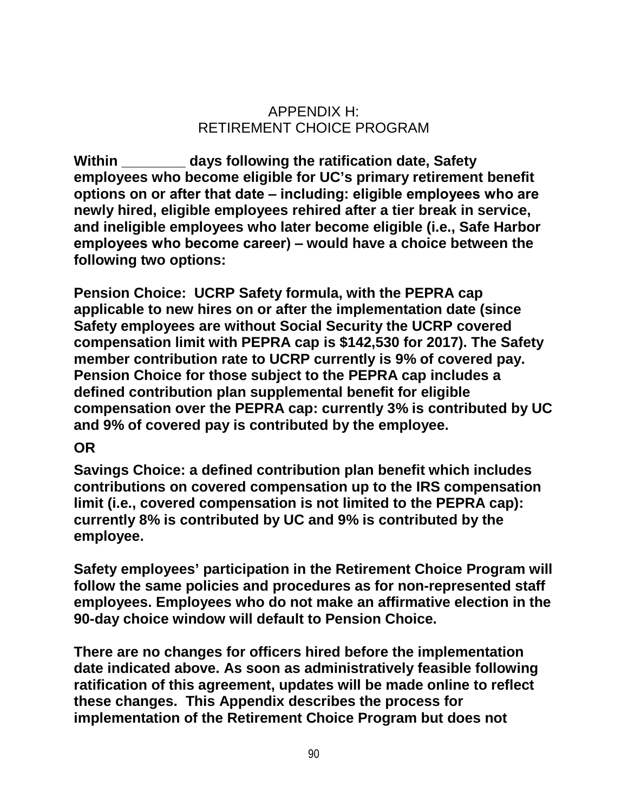## APPENDIX H: RETIREMENT CHOICE PROGRAM

**Within \_\_\_\_\_\_\_\_ days following the ratification date, Safety employees who become eligible for UC's primary retirement benefit options on or after that date ‒ including: eligible employees who are newly hired, eligible employees rehired after a tier break in service, and ineligible employees who later become eligible (i.e., Safe Harbor employees who become career) ‒ would have a choice between the following two options:**

**Pension Choice: UCRP Safety formula, with the PEPRA cap applicable to new hires on or after the implementation date (since Safety employees are without Social Security the UCRP covered compensation limit with PEPRA cap is \$142,530 for 2017). The Safety member contribution rate to UCRP currently is 9% of covered pay. Pension Choice for those subject to the PEPRA cap includes a defined contribution plan supplemental benefit for eligible compensation over the PEPRA cap: currently 3% is contributed by UC and 9% of covered pay is contributed by the employee.**

## **OR**

**Savings Choice: a defined contribution plan benefit which includes contributions on covered compensation up to the IRS compensation limit (i.e., covered compensation is not limited to the PEPRA cap): currently 8% is contributed by UC and 9% is contributed by the employee.**

**Safety employees' participation in the Retirement Choice Program will follow the same policies and procedures as for non-represented staff employees. Employees who do not make an affirmative election in the 90-day choice window will default to Pension Choice.**

**There are no changes for officers hired before the implementation date indicated above. As soon as administratively feasible following ratification of this agreement, updates will be made online to reflect these changes. This Appendix describes the process for implementation of the Retirement Choice Program but does not**